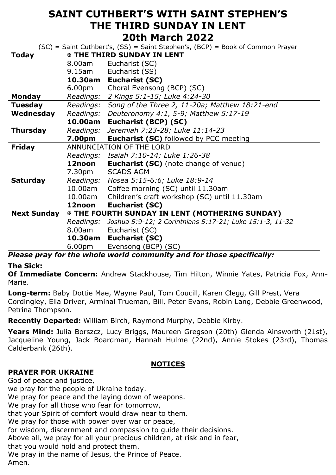## **SAINT CUTHBERT'S WITH SAINT STEPHEN'S THE THIRD SUNDAY IN LENT 20th March 2022**

 $(SC)$  = Saint Cuthbert's,  $(SS)$  = Saint Stephen's,  $(BCP)$  = Book of Common Prayer

| <b>Today</b>       | <b>E THE THIRD SUNDAY IN LENT</b>                      |                                                          |
|--------------------|--------------------------------------------------------|----------------------------------------------------------|
|                    | 8.00am                                                 | Eucharist (SC)                                           |
|                    | 9.15am                                                 | Eucharist (SS)                                           |
|                    | 10.30am                                                | Eucharist (SC)                                           |
|                    | 6.00pm                                                 | Choral Evensong (BCP) (SC)                               |
|                    |                                                        |                                                          |
| <b>Monday</b>      | Readings:                                              | 2 Kings 5:1-15; Luke 4:24-30                             |
| <b>Tuesday</b>     | Readings:                                              | Song of the Three 2, 11-20a; Matthew 18:21-end           |
| Wednesday          | Readings:                                              | Deuteronomy 4:1, 5-9; Matthew 5:17-19                    |
|                    | 10.00am                                                | Eucharist (BCP) (SC)                                     |
| <b>Thursday</b>    | Readings:                                              | Jeremiah 7:23-28; Luke 11:14-23                          |
|                    | <b>7.00pm</b>                                          | <b>Eucharist (SC)</b> followed by PCC meeting            |
| <b>Friday</b>      | ANNUNCIATION OF THE LORD                               |                                                          |
|                    |                                                        | Readings: Isaiah 7:10-14; Luke 1:26-38                   |
|                    | 12noon                                                 | <b>Eucharist (SC)</b> (note change of venue)             |
|                    | 7.30pm                                                 | <b>SCADS AGM</b>                                         |
| <b>Saturday</b>    | Readings:                                              | Hosea 5:15-6:6; Luke 18:9-14                             |
|                    | 10.00am                                                | Coffee morning (SC) until 11.30am                        |
|                    | 10.00am                                                | Children's craft workshop (SC) until 11.30am             |
|                    | 12noon                                                 | <b>Eucharist (SC)</b>                                    |
| <b>Next Sunday</b> | <b>EX THE FOURTH SUNDAY IN LENT (MOTHERING SUNDAY)</b> |                                                          |
|                    | Readings:                                              | Joshua 5:9-12; 2 Corinthians 5:17-21; Luke 15:1-3, 11-32 |
|                    | 8.00am                                                 | Eucharist (SC)                                           |
|                    | 10.30am                                                | <b>Eucharist (SC)</b>                                    |
|                    | 6.00 <sub>pm</sub>                                     | Evensong (BCP) (SC)                                      |

*Please pray for the whole world community and for those specifically:*

## **The Sick:**

**Of Immediate Concern:** Andrew Stackhouse, Tim Hilton, Winnie Yates, Patricia Fox, Ann-Marie.

**Long-term:** Baby Dottie Mae, Wayne Paul, Tom Coucill, Karen Clegg, Gill Prest, Vera Cordingley, Ella Driver, Arminal Trueman, Bill, Peter Evans, Robin Lang, Debbie Greenwood, Petrina Thompson.

**Recently Departed:** William Birch, Raymond Murphy, Debbie Kirby.

**Years Mind:** Julia Borszcz, Lucy Briggs, Maureen Gregson (20th) Glenda Ainsworth (21st), Jacqueline Young, Jack Boardman, Hannah Hulme (22nd), Annie Stokes (23rd), Thomas Calderbank (26th).

## **NOTICES**

## **PRAYER FOR UKRAINE**

God of peace and justice, we pray for the people of Ukraine today. We pray for peace and the laying down of weapons. We pray for all those who fear for tomorrow, that your Spirit of comfort would draw near to them. We pray for those with power over war or peace, for wisdom, discernment and compassion to guide their decisions. Above all, we pray for all your precious children, at risk and in fear, that you would hold and protect them. We pray in the name of Jesus, the Prince of Peace. Amen.